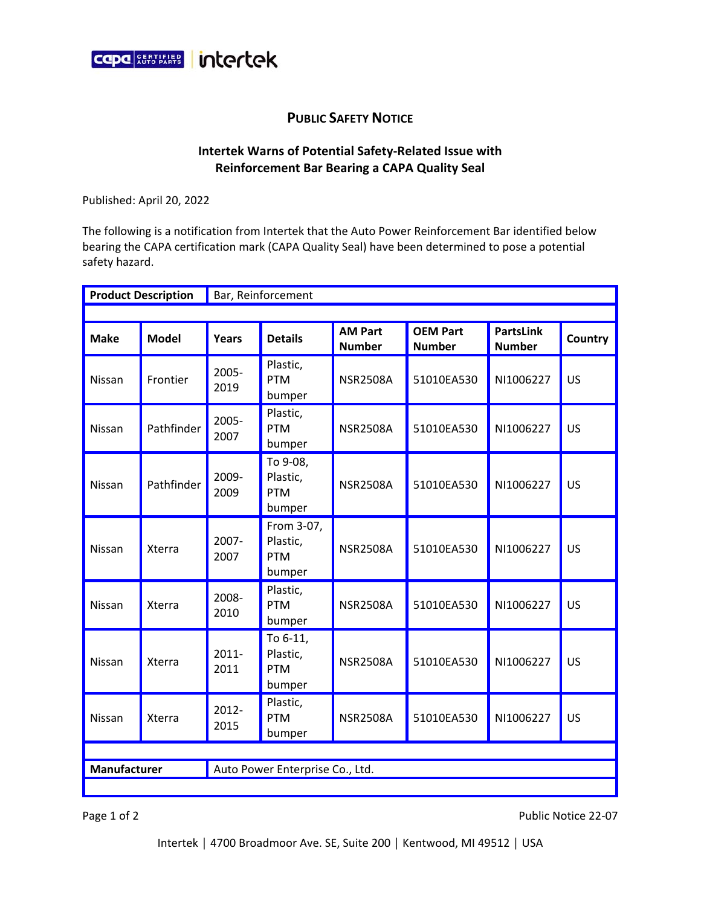

## **PUBLIC SAFETY NOTICE**

## **Intertek Warns of Potential Safety-Related Issue with Reinforcement Bar Bearing a CAPA Quality Seal**

Published: April 20, 2022

The following is a notification from Intertek that the Auto Power Reinforcement Bar identified below bearing the CAPA certification mark (CAPA Quality Seal) have been determined to pose a potential safety hazard.

| <b>Product Description</b>                      |              | Bar, Reinforcement |                                                |                                 |                                  |                                   |           |  |
|-------------------------------------------------|--------------|--------------------|------------------------------------------------|---------------------------------|----------------------------------|-----------------------------------|-----------|--|
|                                                 |              |                    |                                                |                                 |                                  |                                   |           |  |
| <b>Make</b>                                     | <b>Model</b> | Years              | <b>Details</b>                                 | <b>AM Part</b><br><b>Number</b> | <b>OEM Part</b><br><b>Number</b> | <b>PartsLink</b><br><b>Number</b> | Country   |  |
| Nissan                                          | Frontier     | 2005-<br>2019      | Plastic,<br><b>PTM</b><br>bumper               | <b>NSR2508A</b>                 | 51010EA530                       | NI1006227                         | US        |  |
| Nissan                                          | Pathfinder   | 2005-<br>2007      | Plastic,<br><b>PTM</b><br>bumper               | <b>NSR2508A</b>                 | 51010EA530                       | NI1006227                         | <b>US</b> |  |
| Nissan                                          | Pathfinder   | 2009-<br>2009      | To 9-08,<br>Plastic,<br><b>PTM</b><br>bumper   | <b>NSR2508A</b>                 | 51010EA530                       | NI1006227                         | US        |  |
| Nissan                                          | Xterra       | 2007-<br>2007      | From 3-07,<br>Plastic,<br><b>PTM</b><br>bumper | <b>NSR2508A</b>                 | 51010EA530                       | NI1006227                         | US        |  |
| Nissan                                          | Xterra       | 2008-<br>2010      | Plastic,<br><b>PTM</b><br>bumper               | <b>NSR2508A</b>                 | 51010EA530                       | NI1006227                         | <b>US</b> |  |
| Nissan                                          | Xterra       | 2011-<br>2011      | To 6-11,<br>Plastic,<br><b>PTM</b><br>bumper   | <b>NSR2508A</b>                 | 51010EA530                       | NI1006227                         | US        |  |
| Nissan                                          | Xterra       | 2012-<br>2015      | Plastic,<br><b>PTM</b><br>bumper               | <b>NSR2508A</b>                 | 51010EA530                       | NI1006227                         | US        |  |
|                                                 |              |                    |                                                |                                 |                                  |                                   |           |  |
| Manufacturer<br>Auto Power Enterprise Co., Ltd. |              |                    |                                                |                                 |                                  |                                   |           |  |
|                                                 |              |                    |                                                |                                 |                                  |                                   |           |  |

Page 1 of 2 Public Notice 22-07